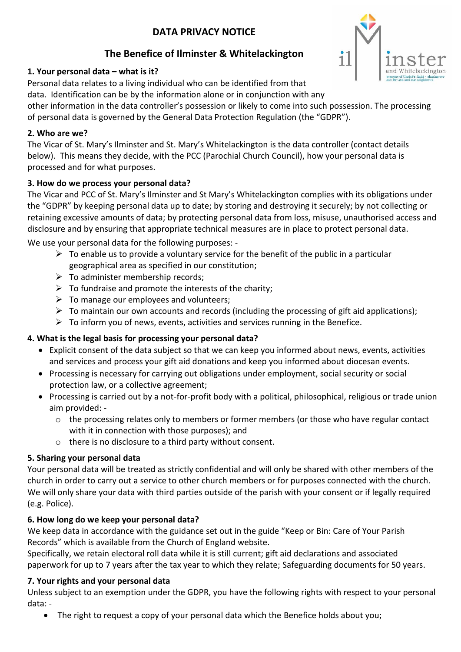# **DATA PRIVACY NOTICE**

# **The Benefice of Ilminster & Whitelackington**



#### **1. Your personal data – what is it?**

Personal data relates to a living individual who can be identified from that

data. Identification can be by the information alone or in conjunction with any other information in the data controller's possession or likely to come into such possession. The processing

of personal data is governed by the General Data Protection Regulation (the "GDPR").

#### **2. Who are we?**

The Vicar of St. Mary's Ilminster and St. Mary's Whitelackington is the data controller (contact details below). This means they decide, with the PCC (Parochial Church Council), how your personal data is processed and for what purposes.

#### **3. How do we process your personal data?**

The Vicar and PCC of St. Mary's Ilminster and St Mary's Whitelackington complies with its obligations under the "GDPR" by keeping personal data up to date; by storing and destroying it securely; by not collecting or retaining excessive amounts of data; by protecting personal data from loss, misuse, unauthorised access and disclosure and by ensuring that appropriate technical measures are in place to protect personal data.

We use your personal data for the following purposes: -

- $\triangleright$  To enable us to provide a voluntary service for the benefit of the public in a particular geographical area as specified in our constitution;
- $\triangleright$  To administer membership records;
- $\triangleright$  To fundraise and promote the interests of the charity;
- $\triangleright$  To manage our employees and volunteers;
- $\triangleright$  To maintain our own accounts and records (including the processing of gift aid applications);
- $\triangleright$  To inform you of news, events, activities and services running in the Benefice.

# **4. What is the legal basis for processing your personal data?**

- Explicit consent of the data subject so that we can keep you informed about news, events, activities and services and process your gift aid donations and keep you informed about diocesan events.
- Processing is necessary for carrying out obligations under employment, social security or social protection law, or a collective agreement;
- Processing is carried out by a not-for-profit body with a political, philosophical, religious or trade union aim provided:
	- o the processing relates only to members or former members (or those who have regular contact with it in connection with those purposes); and
	- o there is no disclosure to a third party without consent.

#### **5. Sharing your personal data**

Your personal data will be treated as strictly confidential and will only be shared with other members of the church in order to carry out a service to other church members or for purposes connected with the church. We will only share your data with third parties outside of the parish with your consent or if legally required (e.g. Police).

# **6. How long do we keep your personal data?**

We keep data in accordance with the guidance set out in the guide "Keep or Bin: Care of Your Parish Records" which is available from the Church of England website.

Specifically, we retain electoral roll data while it is still current; gift aid declarations and associated paperwork for up to 7 years after the tax year to which they relate; Safeguarding documents for 50 years.

#### **7. Your rights and your personal data**

Unless subject to an exemption under the GDPR, you have the following rights with respect to your personal data: -

• The right to request a copy of your personal data which the Benefice holds about you;